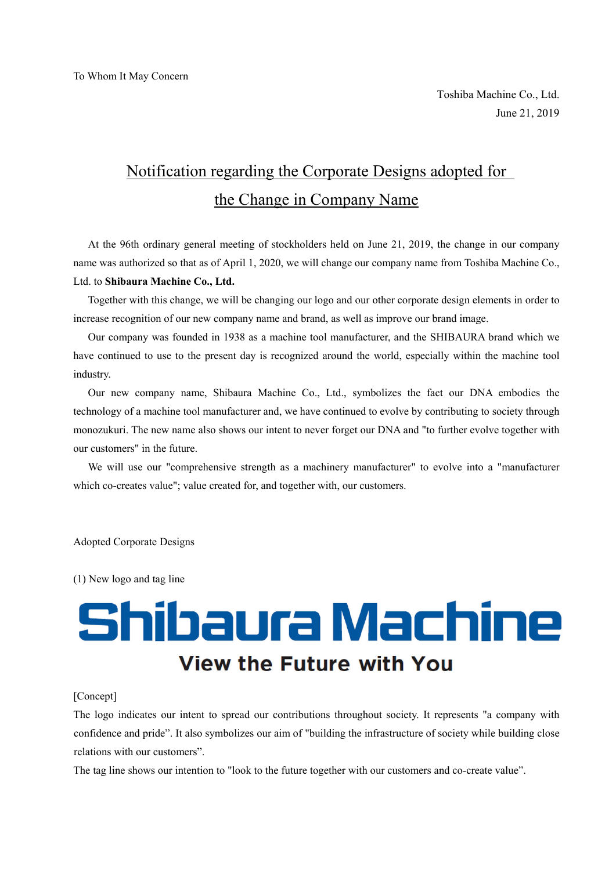## Notification regarding the Corporate Designs adopted for the Change in Company Name

At the 96th ordinary general meeting of stockholders held on June 21, 2019, the change in our company name was authorized so that as of April 1, 2020, we will change our company name from Toshiba Machine Co., Ltd. to **Shibaura Machine Co., Ltd.**

Together with this change, we will be changing our logo and our other corporate design elements in order to increase recognition of our new company name and brand, as well as improve our brand image.

Our company was founded in 1938 as a machine tool manufacturer, and the SHIBAURA brand which we have continued to use to the present day is recognized around the world, especially within the machine tool industry.

Our new company name, Shibaura Machine Co., Ltd., symbolizes the fact our DNA embodies the technology of a machine tool manufacturer and, we have continued to evolve by contributing to society through monozukuri. The new name also shows our intent to never forget our DNA and "to further evolve together with our customers" in the future.

We will use our "comprehensive strength as a machinery manufacturer" to evolve into a "manufacturer which co-creates value"; value created for, and together with, our customers.

Adopted Corporate Designs

(1) New logo and tag line

## Shibaura Machine **View the Future with You**

## [Concept]

The logo indicates our intent to spread our contributions throughout society. It represents "a company with confidence and pride". It also symbolizes our aim of "building the infrastructure of society while building close relations with our customers".

The tag line shows our intention to "look to the future together with our customers and co-create value".